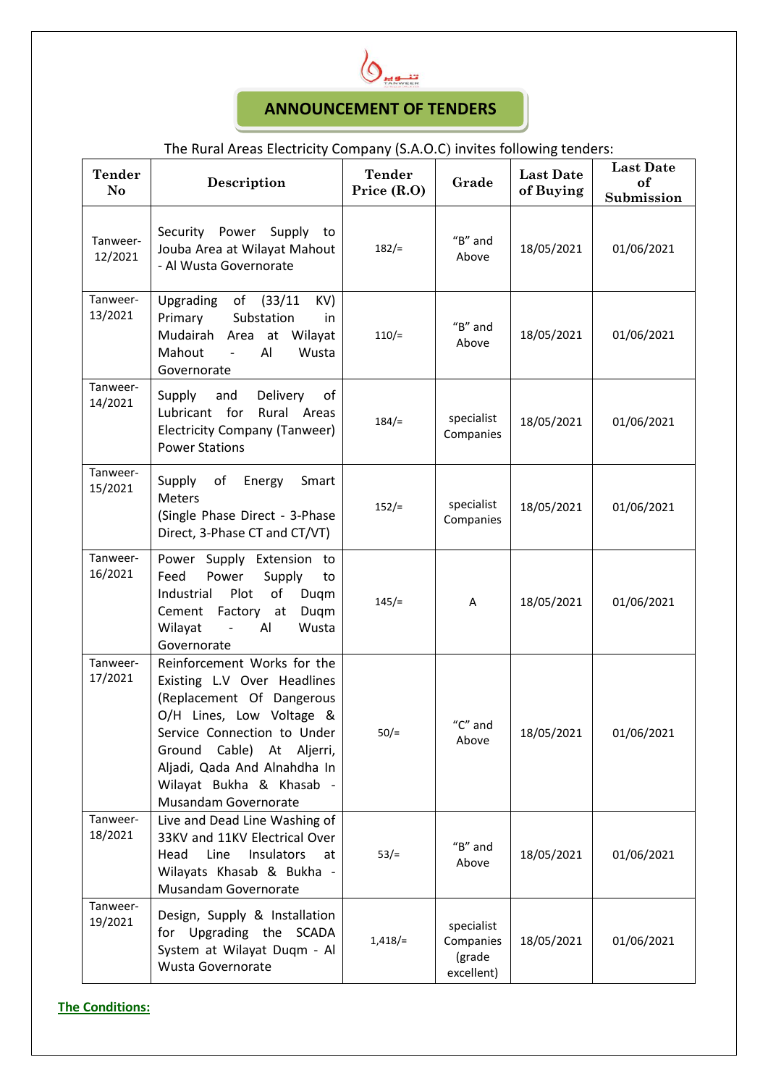

## **ANNOUNCEMENT OF TENDERS**

## The Rural Areas Electricity Company (S.A.O.C) invites following tenders:

| <b>Tender</b><br>No | Description                                                                                                                                                                                                                                                                | <b>Tender</b><br>Price (R.O) | Grade                                              | <b>Last Date</b><br>of Buying | <b>Last Date</b><br>of<br>Submission |
|---------------------|----------------------------------------------------------------------------------------------------------------------------------------------------------------------------------------------------------------------------------------------------------------------------|------------------------------|----------------------------------------------------|-------------------------------|--------------------------------------|
| Tanweer-<br>12/2021 | Power<br>Security<br>Supply<br>to<br>Jouba Area at Wilayat Mahout<br>- Al Wusta Governorate                                                                                                                                                                                | 182/                         | $H$ <sup>"B"</sup> and<br>Above                    | 18/05/2021                    | 01/06/2021                           |
| Tanweer-<br>13/2021 | Upgrading<br>of<br>(33/11)<br>KV)<br>Primary<br>Substation<br>in<br>Mudairah<br>Area at<br>Wilayat<br>Mahout<br>Al<br>Wusta<br>$\overline{\phantom{a}}$<br>Governorate                                                                                                     | 110/                         | $H$ "B" and<br>Above                               | 18/05/2021                    | 01/06/2021                           |
| Tanweer-<br>14/2021 | Delivery<br>Supply<br>and<br>0f<br>Lubricant for<br>Rural Areas<br><b>Electricity Company (Tanweer)</b><br><b>Power Stations</b>                                                                                                                                           | 184/                         | specialist<br>Companies                            | 18/05/2021                    | 01/06/2021                           |
| Tanweer-<br>15/2021 | Supply<br>of<br>Energy<br>Smart<br><b>Meters</b><br>(Single Phase Direct - 3-Phase<br>Direct, 3-Phase CT and CT/VT)                                                                                                                                                        | $152/=$                      | specialist<br>Companies                            | 18/05/2021                    | 01/06/2021                           |
| Tanweer-<br>16/2021 | Power Supply Extension to<br>Feed<br>Power<br>Supply<br>to<br>Plot<br>of<br>Industrial<br>Duqm<br>Cement<br>Factory<br>Duqm<br>at<br>Wilayat<br>Al<br>Wusta<br>$\blacksquare$<br>Governorate                                                                               | 145/                         | A                                                  | 18/05/2021                    | 01/06/2021                           |
| Tanweer-<br>17/2021 | Reinforcement Works for the<br>Existing L.V Over Headlines<br>(Replacement Of Dangerous<br>O/H Lines, Low Voltage &<br>Service Connection to Under<br>Ground Cable) At Aljerri,<br>Aljadi, Qada And Alnahdha In<br>Wilayat Bukha & Khasab -<br><b>Musandam Governorate</b> | $50/=$                       | $^{\prime\prime}$ C $^{\prime\prime}$ and<br>Above | 18/05/2021                    | 01/06/2021                           |
| Tanweer-<br>18/2021 | Live and Dead Line Washing of<br>33KV and 11KV Electrical Over<br>Head<br>Line<br>Insulators<br>at<br>Wilayats Khasab & Bukha -<br>Musandam Governorate                                                                                                                    | $53/=$                       | $H$ "B" and<br>Above                               | 18/05/2021                    | 01/06/2021                           |
| Tanweer-<br>19/2021 | Design, Supply & Installation<br>for Upgrading the SCADA<br>System at Wilayat Duqm - Al<br><b>Wusta Governorate</b>                                                                                                                                                        | $1,418/=$                    | specialist<br>Companies<br>(grade<br>excellent)    | 18/05/2021                    | 01/06/2021                           |

**The Conditions:**